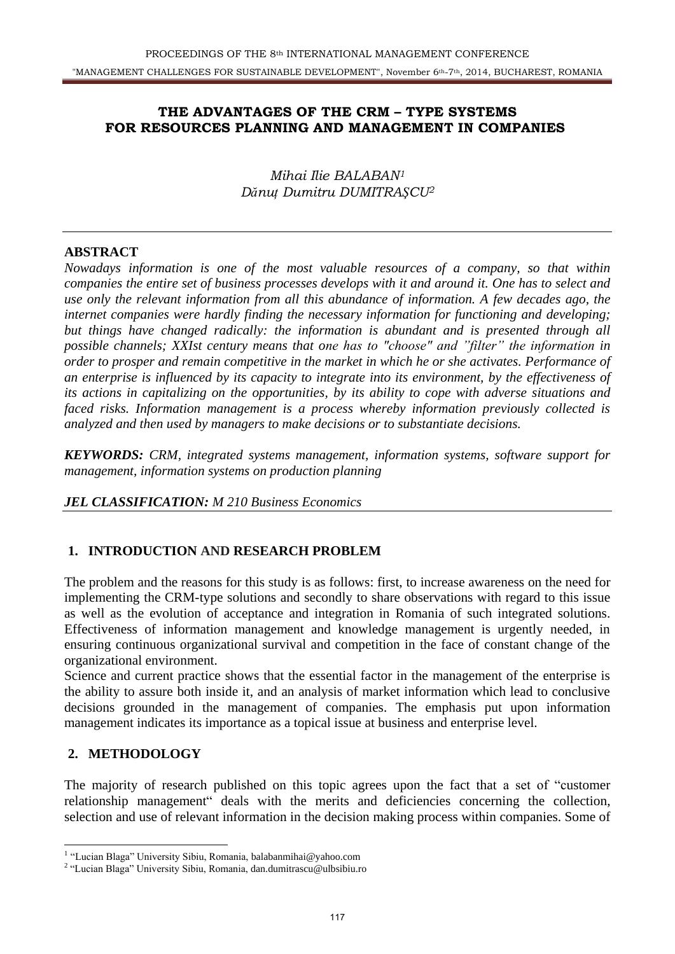## **THE ADVANTAGES OF THE CRM – TYPE SYSTEMS FOR RESOURCES PLANNING AND MANAGEMENT IN COMPANIES**

*Mihai Ilie BALABAN<sup>1</sup> Dănuţ Dumitru DUMITRAŞCU<sup>2</sup>*

### **ABSTRACT**

*Nowadays information is one of the most valuable resources of a company, so that within companies the entire set of business processes develops with it and around it. One has to select and use only the relevant information from all this abundance of information. A few decades ago, the internet companies were hardly finding the necessary information for functioning and developing;*  but things have changed radically: the information is abundant and is presented through all *possible channels; XXIst century means that one has to "choose" and "filter" the information in order to prosper and remain competitive in the market in which he or she activates. Performance of an enterprise is influenced by its capacity to integrate into its environment, by the effectiveness of its actions in capitalizing on the opportunities, by its ability to cope with adverse situations and faced risks. Information management is a process whereby information previously collected is analyzed and then used by managers to make decisions or to substantiate decisions.* 

*KEYWORDS: CRM, integrated systems management, information systems, software support for management, information systems on production planning* 

### *JEL CLASSIFICATION: M 210 Business Economics*

### **1. INTRODUCTION AND RESEARCH PROBLEM**

The problem and the reasons for this study is as follows: first, to increase awareness on the need for implementing the CRM-type solutions and secondly to share observations with regard to this issue as well as the evolution of acceptance and integration in Romania of such integrated solutions. Effectiveness of information management and knowledge management is urgently needed, in ensuring continuous organizational survival and competition in the face of constant change of the organizational environment.

Science and current practice shows that the essential factor in the management of the enterprise is the ability to assure both inside it, and an analysis of market information which lead to conclusive decisions grounded in the management of companies. The emphasis put upon information management indicates its importance as a topical issue at business and enterprise level.

### **2. METHODOLOGY**

The majority of research published on this topic agrees upon the fact that a set of "customer relationship management" deals with the merits and deficiencies concerning the collection, selection and use of relevant information in the decision making process within companies. Some of

 1 "Lucian Blaga" University Sibiu, Romania, balabanmihai@yahoo.com

<sup>2</sup> "Lucian Blaga" University Sibiu, Romania, dan.dumitrascu@ulbsibiu.ro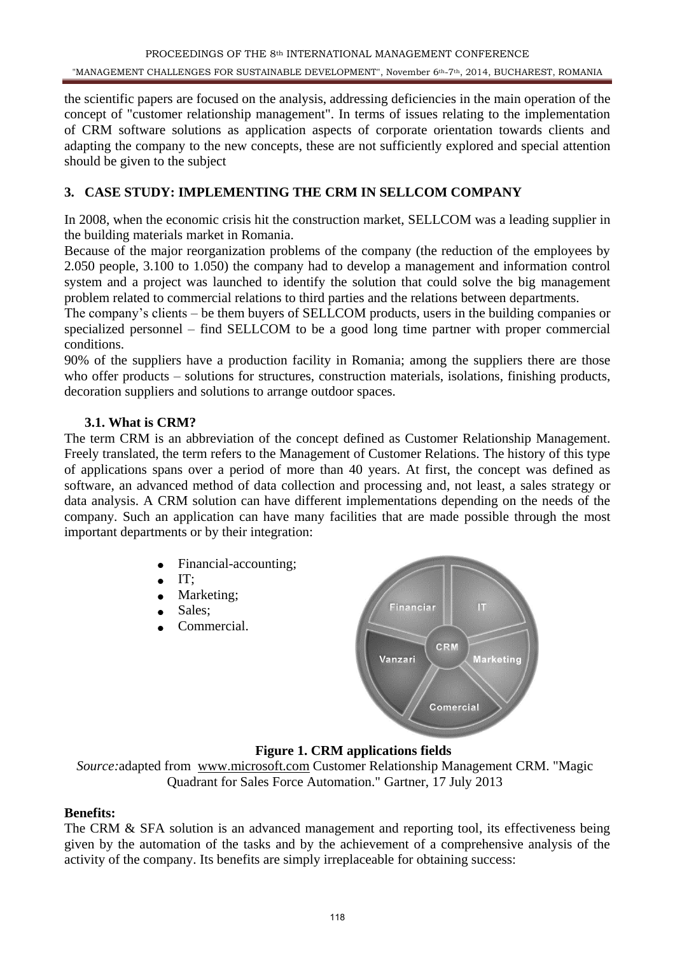the scientific papers are focused on the analysis, addressing deficiencies in the main operation of the concept of "customer relationship management". In terms of issues relating to the implementation of CRM software solutions as application aspects of corporate orientation towards clients and adapting the company to the new concepts, these are not sufficiently explored and special attention should be given to the subject

# **3. CASE STUDY: IMPLEMENTING THE CRM IN SELLCOM COMPANY**

In 2008, when the economic crisis hit the construction market, SELLCOM was a leading supplier in the building materials market in Romania.

Because of the major reorganization problems of the company (the reduction of the employees by 2.050 people, 3.100 to 1.050) the company had to develop a management and information control system and a project was launched to identify the solution that could solve the big management problem related to commercial relations to third parties and the relations between departments.

The company's clients – be them buyers of SELLCOM products, users in the building companies or specialized personnel – find SELLCOM to be a good long time partner with proper commercial conditions.

90% of the suppliers have a production facility in Romania; among the suppliers there are those who offer products – solutions for structures, construction materials, isolations, finishing products, decoration suppliers and solutions to arrange outdoor spaces.

### **3.1. What is CRM?**

The term CRM is an abbreviation of the concept defined as Customer Relationship Management. Freely translated, the term refers to the Management of Customer Relations. The history of this type of applications spans over a period of more than 40 years. At first, the concept was defined as software, an advanced method of data collection and processing and, not least, a sales strategy or data analysis. A CRM solution can have different implementations depending on the needs of the company. Such an application can have many facilities that are made possible through the most important departments or by their integration:

- Financial-accounting;  $\bullet$
- IT;  $\bullet$
- Marketing:
- Sales;
- Commercial.



# **Figure 1. CRM applications fields**

*Source:*adapted from [www.microsoft.com](http://www.microsoft.com/) Customer Relationship Management CRM. "Magic Quadrant for Sales Force Automation." Gartner, 17 July 2013

### **Benefits:**

The CRM & SFA solution is an advanced management and reporting tool, its effectiveness being given by the automation of the tasks and by the achievement of a comprehensive analysis of the activity of the company. Its benefits are simply irreplaceable for obtaining success: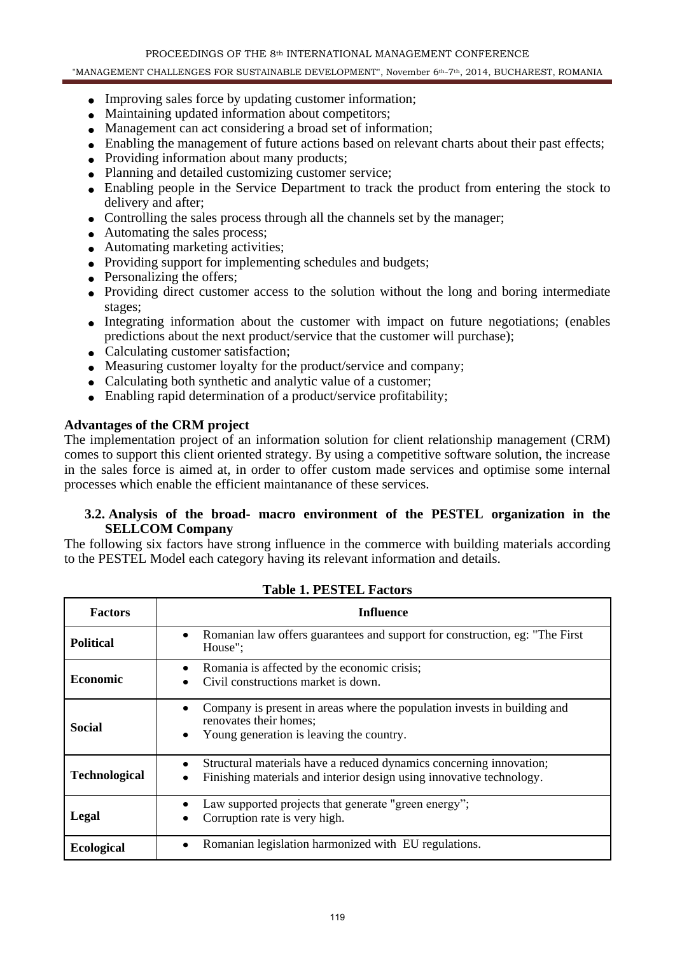#### PROCEEDINGS OF THE 8th INTERNATIONAL MANAGEMENT CONFERENCE

#### "MANAGEMENT CHALLENGES FOR SUSTAINABLE DEVELOPMENT", November 6th-7th, 2014, BUCHAREST, ROMANIA

- Improving sales force by updating customer information;
- Maintaining updated information about competitors;
- Management can act considering a broad set of information;
- Enabling the management of future actions based on relevant charts about their past effects;
- Providing information about many products:
- Planning and detailed customizing customer service;
- Enabling people in the Service Department to track the product from entering the stock to delivery and after;
- Controlling the sales process through all the channels set by the manager;
- Automating the sales process;
- Automating marketing activities:
- Providing support for implementing schedules and budgets;
- Personalizing the offers;
- Providing direct customer access to the solution without the long and boring intermediate stages;
- Integrating information about the customer with impact on future negotiations; (enables predictions about the next product/service that the customer will purchase);
- Calculating customer satisfaction;
- Measuring customer loyalty for the product/service and company;
- Calculating both synthetic and analytic value of a customer:
- Enabling rapid determination of a product/service profitability;

#### **Advantages of the CRM project**

The implementation project of an information solution for client relationship management (CRM) comes to support this client oriented strategy. By using a competitive software solution, the increase in the sales force is aimed at, in order to offer custom made services and optimise some internal processes which enable the efficient maintanance of these services.

#### **3.2. Analysis of the broad- macro environment of the PESTEL organization in the SELLCOM Company**

The following six factors have strong influence in the commerce with building materials according to the PESTEL Model each category having its relevant information and details.

| <b>Factors</b>       | <b>Influence</b>                                                                                                                                         |  |  |  |
|----------------------|----------------------------------------------------------------------------------------------------------------------------------------------------------|--|--|--|
| <b>Political</b>     | Romanian law offers guarantees and support for construction, eg: "The First<br>٠<br>House";                                                              |  |  |  |
| <b>Economic</b>      | Romania is affected by the economic crisis;<br>٠<br>Civil constructions market is down.                                                                  |  |  |  |
| Social               | Company is present in areas where the population invests in building and<br>٠<br>renovates their homes;<br>Young generation is leaving the country.<br>٠ |  |  |  |
| <b>Technological</b> | Structural materials have a reduced dynamics concerning innovation;<br>٠<br>Finishing materials and interior design using innovative technology.<br>٠    |  |  |  |
| Legal                | Law supported projects that generate "green energy";<br>Corruption rate is very high.                                                                    |  |  |  |
| <b>Ecological</b>    | Romanian legislation harmonized with EU regulations.<br>٠                                                                                                |  |  |  |

**Table 1. PESTEL Factors**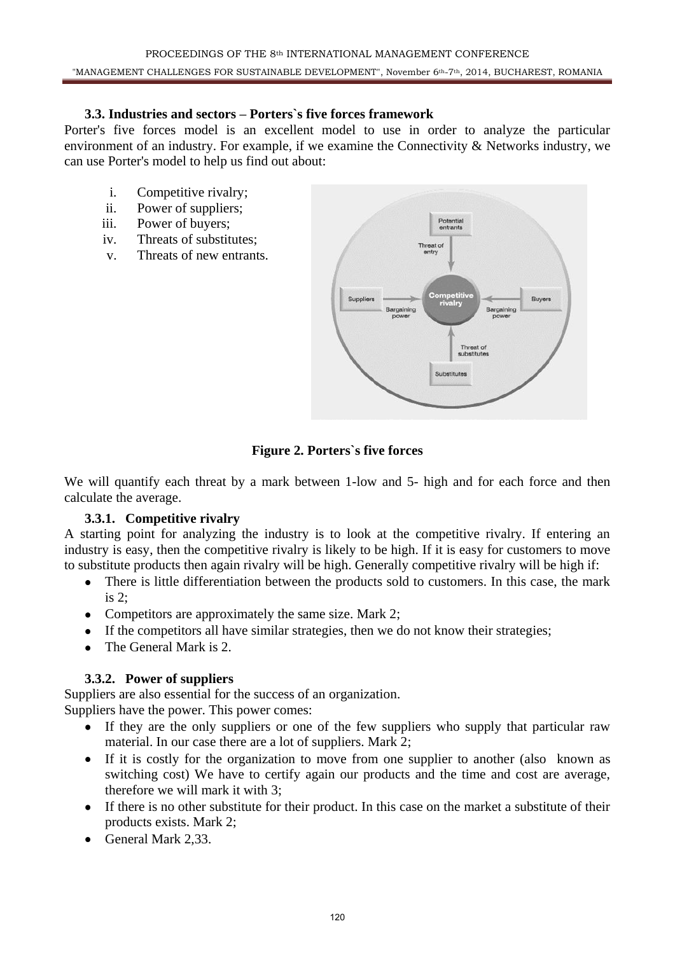#### **3.3. Industries and sectors – Porters`s five forces framework**

Porter's five forces model is an excellent model to use in order to analyze the particular environment of an industry. For example, if we examine the Connectivity & Networks industry, we can use Porter's model to help us find out about:

- i. Competitive rivalry;
- ii. Power of suppliers;
- iii. Power of buyers;
- iv. Threats of substitutes;
- v. Threats of new entrants.



## **Figure 2. Porters`s five forces**

We will quantify each threat by a mark between 1-low and 5- high and for each force and then calculate the average.

### **3.3.1. Competitive rivalry**

A starting point for analyzing the industry is to look at the competitive rivalry. If entering an industry is easy, then the competitive rivalry is likely to be high. If it is easy for customers to move to substitute products then again rivalry will be high. Generally competitive rivalry will be high if:

- There is little differentiation between the products sold to customers. In this case, the mark  $\bullet$ is 2;
- Competitors are approximately the same size. Mark 2;
- If the competitors all have similar strategies, then we do not know their strategies;
- The General Mark is 2.

### **3.3.2. Power of suppliers**

Suppliers are also essential for the success of an organization. Suppliers have the power. This power comes:

- If they are the only suppliers or one of the few suppliers who supply that particular raw material. In our case there are a lot of suppliers. Mark 2;
- If it is costly for the organization to move from one supplier to another (also known as  $\bullet$ switching cost) We have to certify again our products and the time and cost are average, therefore we will mark it with 3;
- If there is no other substitute for their product. In this case on the market a substitute of their  $\bullet$ products exists. Mark 2;
- General Mark 2.33.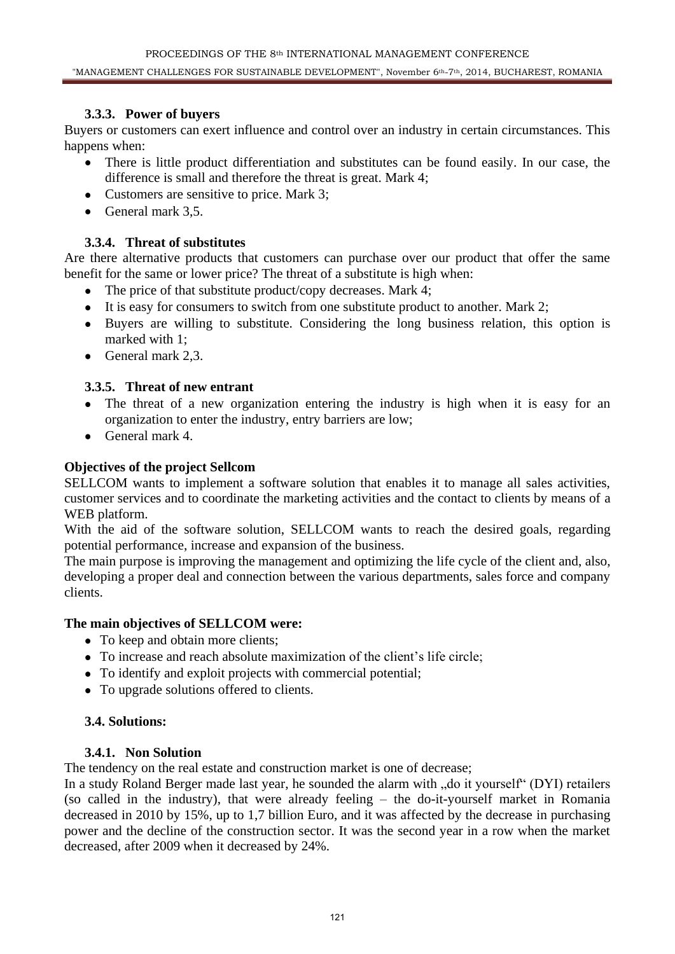## **3.3.3. Power of buyers**

Buyers or customers can exert influence and control over an industry in certain circumstances. This happens when:

- There is little product differentiation and substitutes can be found easily. In our case, the difference is small and therefore the threat is great. Mark 4;
- Customers are sensitive to price. Mark 3:
- $\bullet$  General mark 3.5.

## **3.3.4. Threat of substitutes**

Are there alternative products that customers can purchase over our product that offer the same benefit for the same or lower price? The threat of a substitute is high when:

- The price of that substitute product/copy decreases. Mark 4;
- It is easy for consumers to switch from one substitute product to another. Mark 2;
- Buyers are willing to substitute. Considering the long business relation, this option is marked with 1;
- General mark 2.3.

### **3.3.5. Threat of new entrant**

- The threat of a new organization entering the industry is high when it is easy for an organization to enter the industry, entry barriers are low;
- General mark 4.  $\bullet$

## **Objectives of the project Sellcom**

SELLCOM wants to implement a software solution that enables it to manage all sales activities, customer services and to coordinate the marketing activities and the contact to clients by means of a WEB platform.

With the aid of the software solution, SELLCOM wants to reach the desired goals, regarding potential performance, increase and expansion of the business.

The main purpose is improving the management and optimizing the life cycle of the client and, also, developing a proper deal and connection between the various departments, sales force and company clients.

### **The main objectives of SELLCOM were:**

- To keep and obtain more clients;
- To increase and reach absolute maximization of the client's life circle;
- To identify and exploit projects with commercial potential;
- To upgrade solutions offered to clients.

### **3.4. Solutions:**

#### **3.4.1. Non Solution**

The tendency on the real estate and construction market is one of decrease;

In a study Roland Berger made last year, he sounded the alarm with "do it yourself" (DYI) retailers (so called in the industry), that were already feeling – the do-it-yourself market in Romania decreased in 2010 by 15%, up to 1,7 billion Euro, and it was affected by the decrease in purchasing power and the decline of the construction sector. It was the second year in a row when the market decreased, after 2009 when it decreased by 24%.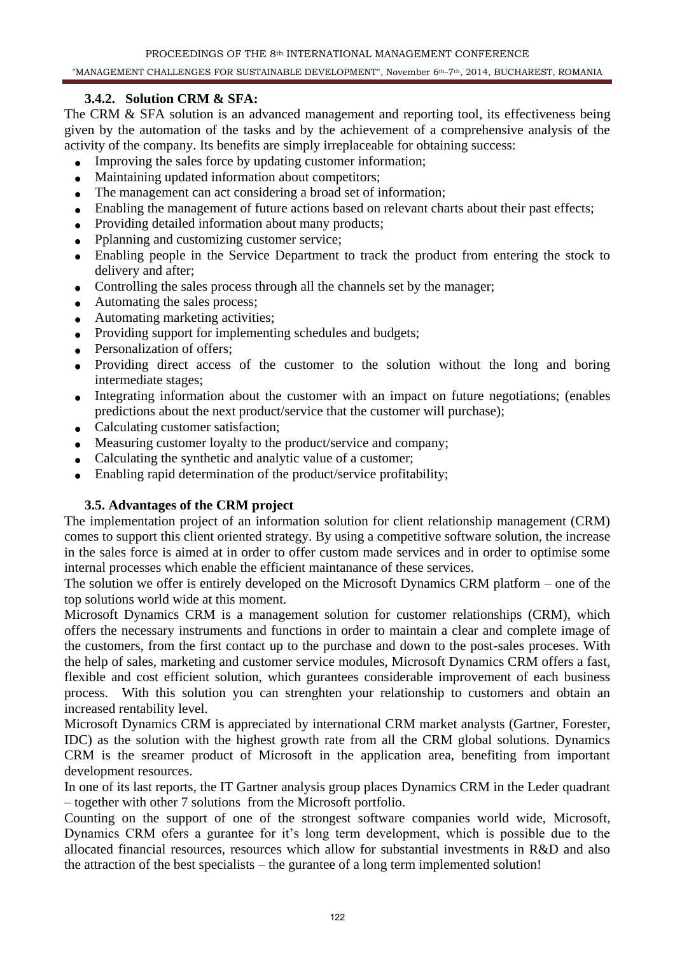## **3.4.2. Solution CRM & SFA:**

The CRM & SFA solution is an advanced management and reporting tool, its effectiveness being given by the automation of the tasks and by the achievement of a comprehensive analysis of the activity of the company. Its benefits are simply irreplaceable for obtaining success:

- Improving the sales force by updating customer information;  $\bullet$
- Maintaining updated information about competitors;
- The management can act considering a broad set of information;
- Enabling the management of future actions based on relevant charts about their past effects;
- Providing detailed information about many products;
- Pplanning and customizing customer service;
- Enabling people in the Service Department to track the product from entering the stock to  $\bullet$ delivery and after;
- Controlling the sales process through all the channels set by the manager;
- Automating the sales process;
- Automating marketing activities;
- Providing support for implementing schedules and budgets;
- Personalization of offers;
- Providing direct access of the customer to the solution without the long and boring intermediate stages;
- Integrating information about the customer with an impact on future negotiations; (enables predictions about the next product/service that the customer will purchase);
- Calculating customer satisfaction;
- Measuring customer loyalty to the product/service and company;
- Calculating the synthetic and analytic value of a customer;
- Enabling rapid determination of the product/service profitability;

### **3.5. Advantages of the CRM project**

The implementation project of an information solution for client relationship management (CRM) comes to support this client oriented strategy. By using a competitive software solution, the increase in the sales force is aimed at in order to offer custom made services and in order to optimise some internal processes which enable the efficient maintanance of these services.

The solution we offer is entirely developed on the Microsoft Dynamics CRM platform – one of the top solutions world wide at this moment.

Microsoft Dynamics CRM is a management solution for customer relationships (CRM), which offers the necessary instruments and functions in order to maintain a clear and complete image of the customers, from the first contact up to the purchase and down to the post-sales proceses. With the help of sales, marketing and customer service modules, Microsoft Dynamics CRM offers a fast, flexible and cost efficient solution, which gurantees considerable improvement of each business process. With this solution you can strenghten your relationship to customers and obtain an increased rentability level.

Microsoft Dynamics CRM is appreciated by international CRM market analysts (Gartner, Forester, IDC) as the solution with the highest growth rate from all the CRM global solutions. Dynamics CRM is the sreamer product of Microsoft in the application area, benefiting from important development resources.

In one of its last reports, the IT Gartner analysis group places Dynamics CRM in the Leder quadrant – together with other 7 solutions from the Microsoft portfolio.

Counting on the support of one of the strongest software companies world wide, Microsoft, Dynamics CRM ofers a gurantee for it's long term development, which is possible due to the allocated financial resources, resources which allow for substantial investments in R&D and also the attraction of the best specialists – the gurantee of a long term implemented solution!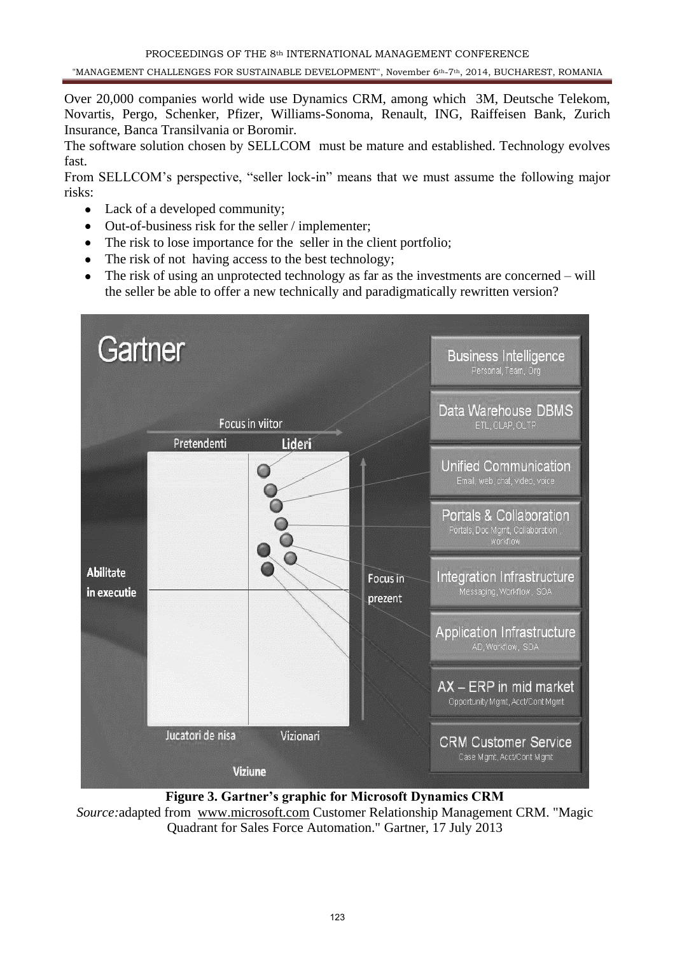Over 20,000 companies world wide use Dynamics CRM, among which 3M, Deutsche Telekom, Novartis, Pergo, Schenker, Pfizer, Williams-Sonoma, Renault, ING, Raiffeisen Bank, Zurich Insurance, Banca Transilvania or Boromir.

The software solution chosen by SELLCOM must be mature and established. Technology evolves fast.

From SELLCOM's perspective, "seller lock-in" means that we must assume the following major risks:

- Lack of a developed community;
- Out-of-business risk for the seller / implementer;  $\bullet$
- The risk to lose importance for the seller in the client portfolio;  $\bullet$
- $\bullet$ The risk of not having access to the best technology;
- The risk of using an unprotected technology as far as the investments are concerned will  $\bullet$ the seller be able to offer a new technically and paradigmatically rewritten version?



**Figure 3. Gartner's graphic for Microsoft Dynamics CRM**

*Source:*adapted from [www.microsoft.com](http://www.microsoft.com/) Customer Relationship Management CRM. "Magic Quadrant for Sales Force Automation." Gartner, 17 July 2013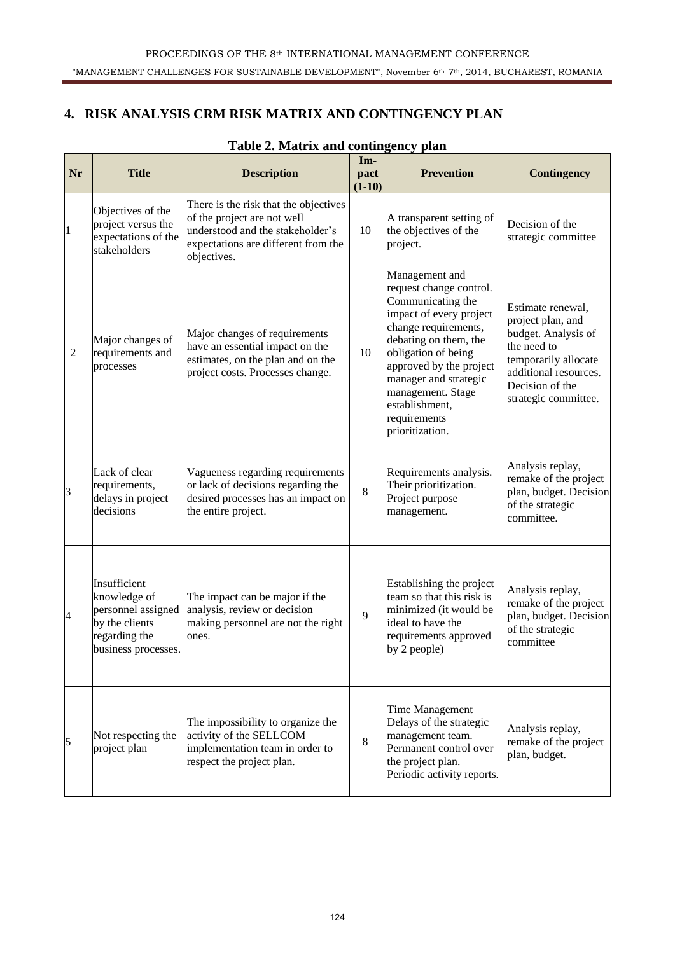# **4. RISK ANALYSIS CRM RISK MATRIX AND CONTINGENCY PLAN**

| Nr             | <b>Title</b>                                                                                                 | <b>Description</b>                                                                                                                                             | Im-<br>pact<br>$(1-10)$ | <b>Prevention</b>                                                                                                                                                                                                                                                                               | <b>Contingency</b>                                                                                                                                                       |
|----------------|--------------------------------------------------------------------------------------------------------------|----------------------------------------------------------------------------------------------------------------------------------------------------------------|-------------------------|-------------------------------------------------------------------------------------------------------------------------------------------------------------------------------------------------------------------------------------------------------------------------------------------------|--------------------------------------------------------------------------------------------------------------------------------------------------------------------------|
| $\vert$ 1      | Objectives of the<br>project versus the<br>expectations of the<br>stakeholders                               | There is the risk that the objectives<br>of the project are not well<br>understood and the stakeholder's<br>expectations are different from the<br>objectives. | 10                      | A transparent setting of<br>the objectives of the<br>project.                                                                                                                                                                                                                                   | Decision of the<br>strategic committee                                                                                                                                   |
| $\overline{2}$ | Major changes of<br>requirements and<br>processes                                                            | Major changes of requirements<br>have an essential impact on the<br>estimates, on the plan and on the<br>project costs. Processes change.                      | 10                      | Management and<br>request change control.<br>Communicating the<br>impact of every project<br>change requirements,<br>debating on them, the<br>obligation of being<br>approved by the project<br>manager and strategic<br>management. Stage<br>establishment,<br>requirements<br>prioritization. | Estimate renewal,<br>project plan, and<br>budget. Analysis of<br>the need to<br>temporarily allocate<br>additional resources.<br>Decision of the<br>strategic committee. |
| 3              | Lack of clear<br>requirements,<br>delays in project<br>decisions                                             | Vagueness regarding requirements<br>or lack of decisions regarding the<br>desired processes has an impact on<br>the entire project.                            | 8                       | Requirements analysis.<br>Their prioritization.<br>Project purpose<br>management.                                                                                                                                                                                                               | Analysis replay,<br>remake of the project<br>plan, budget. Decision<br>of the strategic<br>committee.                                                                    |
| $\vert 4$      | Insufficient<br>knowledge of<br>personnel assigned<br>by the clients<br>regarding the<br>business processes. | The impact can be major if the<br>analysis, review or decision<br>making personnel are not the right<br>ones.                                                  | 9                       | Establishing the project<br>team so that this risk is<br>minimized (it would be<br>ideal to have the<br>requirements approved<br>by 2 people)                                                                                                                                                   | Analysis replay,<br>remake of the project<br>plan, budget. Decision<br>of the strategic<br>committee                                                                     |
| 5              | Not respecting the<br>project plan                                                                           | The impossibility to organize the<br>activity of the SELLCOM<br>implementation team in order to<br>respect the project plan.                                   | 8                       | <b>Time Management</b><br>Delays of the strategic<br>management team.<br>Permanent control over<br>the project plan.<br>Periodic activity reports.                                                                                                                                              | Analysis replay,<br>remake of the project<br>plan, budget.                                                                                                               |

## **Table 2. Matrix and contingency plan**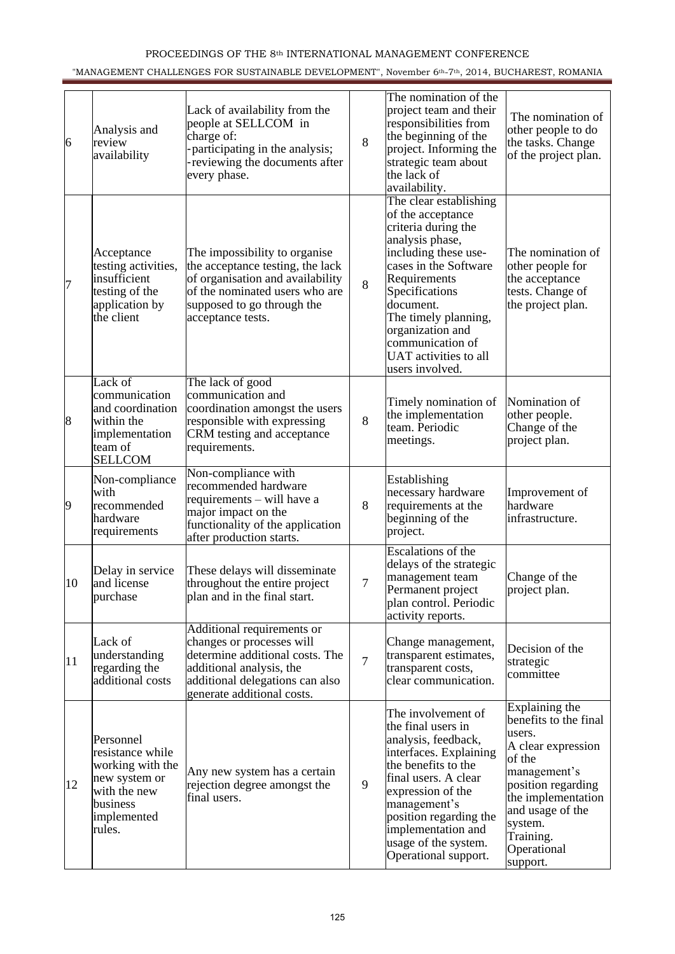#### PROCEEDINGS OF THE 8th INTERNATIONAL MANAGEMENT CONFERENCE

#### "MANAGEMENT CHALLENGES FOR SUSTAINABLE DEVELOPMENT", November 6<sup>th</sup>-7<sup>th</sup>, 2014, BUCHAREST, ROMANIA

| 6         | Analysis and<br>review<br>availability                                                                                  | Lack of availability from the<br>people at SELLCOM in<br>charge of:<br>-participating in the analysis;<br>-reviewing the documents after<br>every phase.                                   | 8              | The nomination of the<br>project team and their<br>responsibilities from<br>the beginning of the<br>project. Informing the<br>strategic team about<br>the lack of<br>availability.                                                                                                                | The nomination of<br>other people to do<br>the tasks. Change<br>of the project plan.                                                                                                                                 |
|-----------|-------------------------------------------------------------------------------------------------------------------------|--------------------------------------------------------------------------------------------------------------------------------------------------------------------------------------------|----------------|---------------------------------------------------------------------------------------------------------------------------------------------------------------------------------------------------------------------------------------------------------------------------------------------------|----------------------------------------------------------------------------------------------------------------------------------------------------------------------------------------------------------------------|
| 7         | Acceptance<br>testing activities,<br>insufficient<br>testing of the<br>application by<br>the client                     | The impossibility to organise<br>the acceptance testing, the lack<br>of organisation and availability<br>of the nominated users who are<br>supposed to go through the<br>acceptance tests. | 8              | The clear establishing<br>of the acceptance<br>criteria during the<br>analysis phase,<br>including these use-<br>cases in the Software<br>Requirements<br>Specifications<br>document.<br>The timely planning,<br>organization and<br>communication of<br>UAT activities to all<br>users involved. | The nomination of<br>other people for<br>the acceptance<br>tests. Change of<br>the project plan.                                                                                                                     |
| 8         | Lack of<br>communication<br>and coordination<br>within the<br>implementation<br>team of<br><b>SELLCOM</b>               | The lack of good<br>communication and<br>coordination amongst the users<br>responsible with expressing<br>CRM testing and acceptance<br>requirements.                                      | 8              | Timely nomination of<br>the implementation<br>team. Periodic<br>meetings.                                                                                                                                                                                                                         | Nomination of<br>other people.<br>Change of the<br>project plan.                                                                                                                                                     |
| $\vert 9$ | Non-compliance<br>with<br>recommended<br>hardware<br>requirements                                                       | Non-compliance with<br>recommended hardware<br>requirements - will have a<br>major impact on the<br>functionality of the application<br>after production starts.                           | 8              | Establishing<br>necessary hardware<br>requirements at the<br>beginning of the<br>project.                                                                                                                                                                                                         | Improvement of<br>hardware<br>infrastructure.                                                                                                                                                                        |
| 10        | Delay in service<br>and license<br>purchase                                                                             | These delays will disseminate<br>throughout the entire project<br>plan and in the final start.                                                                                             | $\tau$         | Escalations of the<br>delays of the strategic<br>management team<br>Permanent project<br>plan control. Periodic<br>activity reports.                                                                                                                                                              | Change of the<br>project plan.                                                                                                                                                                                       |
| 11        | Lack of<br>understanding<br>regarding the<br>additional costs                                                           | Additional requirements or<br>changes or processes will<br>determine additional costs. The<br>additional analysis, the<br>additional delegations can also<br>generate additional costs.    | $\overline{7}$ | Change management,<br>transparent estimates,<br>transparent costs,<br>clear communication.                                                                                                                                                                                                        | Decision of the<br>strategic<br>committee                                                                                                                                                                            |
| 12        | Personnel<br>resistance while<br>working with the<br>new system or<br>with the new<br>business<br>implemented<br>rules. | Any new system has a certain<br>rejection degree amongst the<br>final users.                                                                                                               | 9              | The involvement of<br>the final users in<br>analysis, feedback,<br>interfaces. Explaining<br>the benefits to the<br>final users. A clear<br>expression of the<br>management's<br>position regarding the<br>implementation and<br>usage of the system.<br>Operational support.                     | Explaining the<br>benefits to the final<br>users.<br>A clear expression<br>of the<br>management's<br>position regarding<br>the implementation<br>and usage of the<br>system.<br>Training.<br>Operational<br>support. |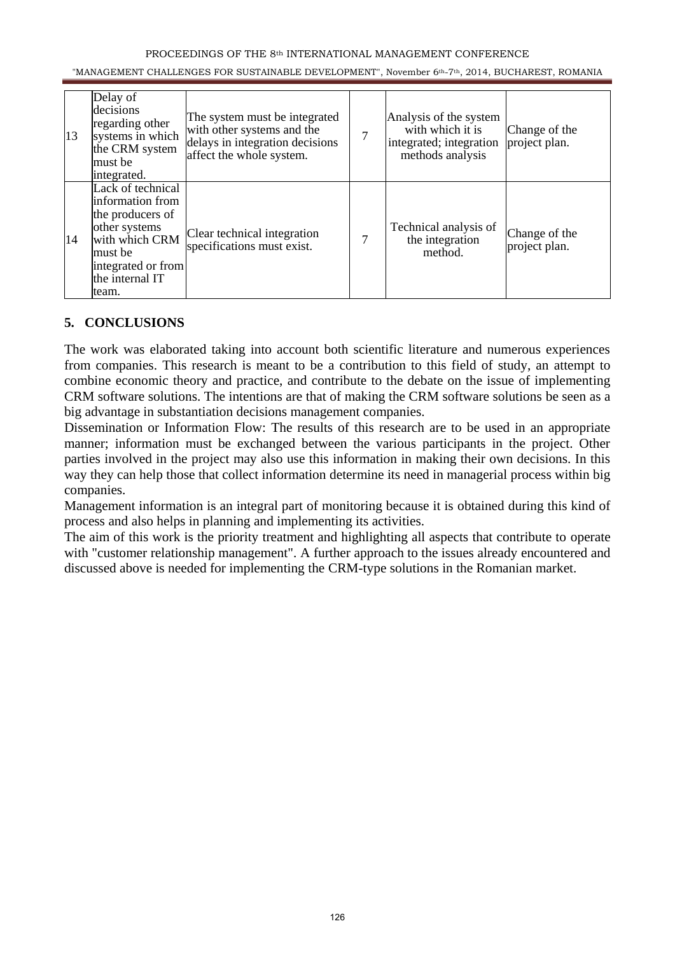#### PROCEEDINGS OF THE 8th INTERNATIONAL MANAGEMENT CONFERENCE

#### "MANAGEMENT CHALLENGES FOR SUSTAINABLE DEVELOPMENT", November 6th-7th, 2014, BUCHAREST, ROMANIA

| 13 | Delay of<br>decisions<br>regarding other<br>systems in which<br>the CRM system<br>lmust be<br>integrated.                                                   | The system must be integrated<br>with other systems and the<br>delays in integration decisions<br>affect the whole system. | 7 | Analysis of the system<br>with which it is<br>integrated; integration<br>methods analysis | Change of the<br>project plan. |
|----|-------------------------------------------------------------------------------------------------------------------------------------------------------------|----------------------------------------------------------------------------------------------------------------------------|---|-------------------------------------------------------------------------------------------|--------------------------------|
| 14 | Lack of technical<br>linformation from<br>the producers of<br>other systems<br>with which CRM<br>lmust be<br>integrated or from<br>the internal IT<br>team. | Clear technical integration<br>specifications must exist.                                                                  | 7 | Technical analysis of<br>the integration<br>method.                                       | Change of the<br>project plan. |

#### **5. CONCLUSIONS**

The work was elaborated taking into account both scientific literature and numerous experiences from companies. This research is meant to be a contribution to this field of study, an attempt to combine economic theory and practice, and contribute to the debate on the issue of implementing CRM software solutions. The intentions are that of making the CRM software solutions be seen as a big advantage in substantiation decisions management companies.

Dissemination or Information Flow: The results of this research are to be used in an appropriate manner; information must be exchanged between the various participants in the project. Other parties involved in the project may also use this information in making their own decisions. In this way they can help those that collect information determine its need in managerial process within big companies.

Management information is an integral part of monitoring because it is obtained during this kind of process and also helps in planning and implementing its activities.

The aim of this work is the priority treatment and highlighting all aspects that contribute to operate with "customer relationship management". A further approach to the issues already encountered and discussed above is needed for implementing the CRM-type solutions in the Romanian market.